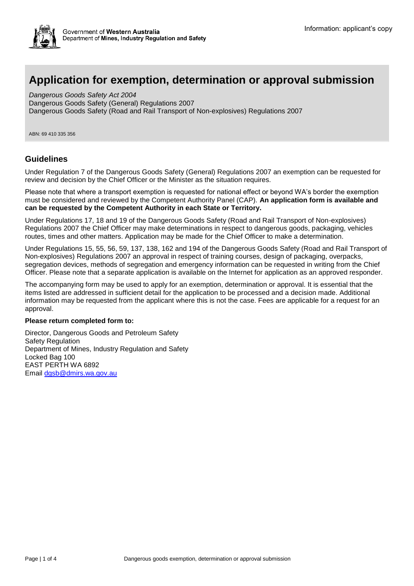# **Application for exemption, determination or approval submission**

*Dangerous Goods Safety Act 2004* Dangerous Goods Safety (General) Regulations 2007 Dangerous Goods Safety (Road and Rail Transport of Non-explosives) Regulations 2007

ABN: 69 410 335 356

#### **Guidelines**

Under Regulation 7 of the Dangerous Goods Safety (General) Regulations 2007 an exemption can be requested for review and decision by the Chief Officer or the Minister as the situation requires.

Please note that where a transport exemption is requested for national effect or beyond WA's border the exemption must be considered and reviewed by the Competent Authority Panel (CAP). **An application form is available and can be requested by the Competent Authority in each State or Territory.**

Under Regulations 17, 18 and 19 of the Dangerous Goods Safety (Road and Rail Transport of Non-explosives) Regulations 2007 the Chief Officer may make determinations in respect to dangerous goods, packaging, vehicles routes, times and other matters. Application may be made for the Chief Officer to make a determination.

Under Regulations 15, 55, 56, 59, 137, 138, 162 and 194 of the Dangerous Goods Safety (Road and Rail Transport of Non-explosives) Regulations 2007 an approval in respect of training courses, design of packaging, overpacks, segregation devices, methods of segregation and emergency information can be requested in writing from the Chief Officer. Please note that a separate application is available on the Internet for application as an approved responder.

The accompanying form may be used to apply for an exemption, determination or approval. It is essential that the items listed are addressed in sufficient detail for the application to be processed and a decision made. Additional information may be requested from the applicant where this is not the case. Fees are applicable for a request for an approval.

#### **Please return completed form to:**

Director, Dangerous Goods and Petroleum Safety Safety Regulation Department of Mines, Industry Regulation and Safety Locked Bag 100 EAST PERTH WA 6892 Email [dgsb@dmirs.wa.gov.au](mailto:dgsb@dmirs.wa.gov.au)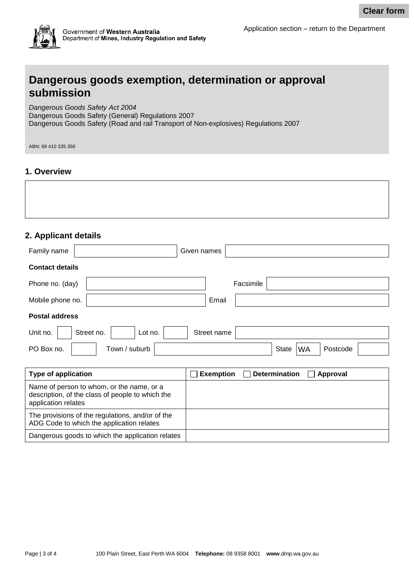

#### **1. Overview**

### **2. Applicant details**

|                                                                                                                                                                             | <b>Clear form</b>                              |
|-----------------------------------------------------------------------------------------------------------------------------------------------------------------------------|------------------------------------------------|
| Government of Western Australia<br>Department of Mines, Industry Regulation and Safety                                                                                      | Application section - return to the Department |
| Dangerous goods exemption, determination or approval<br>submission                                                                                                          |                                                |
| Dangerous Goods Safety Act 2004<br>Dangerous Goods Safety (General) Regulations 2007<br>Dangerous Goods Safety (Road and rail Transport of Non-explosives) Regulations 2007 |                                                |
| ABN: 69 410 335 356                                                                                                                                                         |                                                |
| 1. Overview<br>2. Applicant details                                                                                                                                         |                                                |
| Given names<br>Family name                                                                                                                                                  |                                                |
| <b>Contact details</b>                                                                                                                                                      |                                                |
| Phone no. (day)                                                                                                                                                             | Facsimile                                      |
| Mobile phone no.<br>Email                                                                                                                                                   |                                                |
| <b>Postal address</b>                                                                                                                                                       |                                                |
| Street no.<br>Lot no.<br>Street name<br>Unit no.                                                                                                                            |                                                |
| Town / suburb<br>PO Box no.                                                                                                                                                 | <b>State</b><br><b>WA</b><br>Postcode          |
|                                                                                                                                                                             |                                                |

| <b>Type of application</b>                                                                                           | Exemption $\Box$ Determination $\Box$ Approval |  |
|----------------------------------------------------------------------------------------------------------------------|------------------------------------------------|--|
| Name of person to whom, or the name, or a<br>description, of the class of people to which the<br>application relates |                                                |  |
| The provisions of the regulations, and/or of the<br>ADG Code to which the application relates                        |                                                |  |
| Dangerous goods to which the application relates                                                                     |                                                |  |